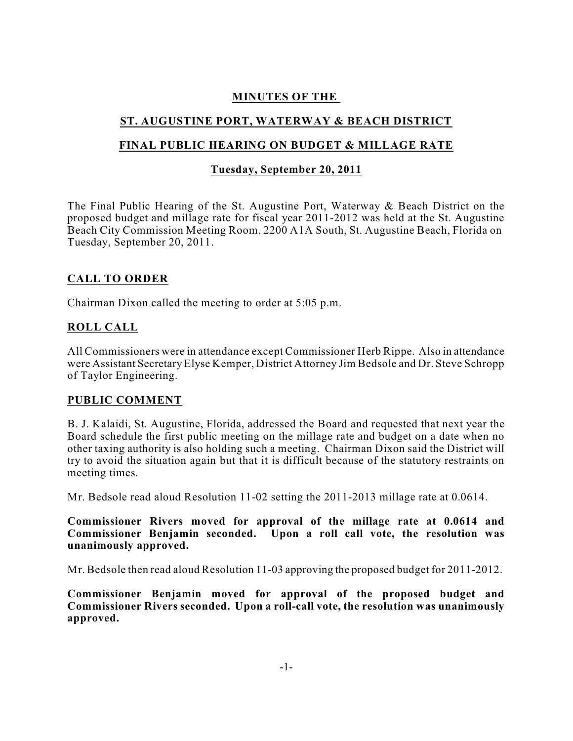### **MINUTES OF THE**

# **ST. AUGUSTINE PORT, WATERWAY & BEACH DISTRICT**

## **FINAL PUBLIC HEARING ON BUDGET & MILLAGE RATE**

#### **Tuesday, September 20, 2011**

The Final Public Hearing of the St. Augustine Port, Waterway & Beach District on the proposed budget and millage rate for fiscal year 2011-2012 was held at the St. Augustine Beach City Commission Meeting Room, 2200 A1A South, St. Augustine Beach, Florida on Tuesday, September 20, 2011.

#### **CALL TO ORDER**

Chairman Dixon called the meeting to order at 5:05 p.m.

#### **ROLL CALL**

All Commissioners were in attendance except Commissioner Herb Rippe. Also in attendance were Assistant Secretary Elyse Kemper, District Attorney Jim Bedsole and Dr. Steve Schropp of Taylor Engineering.

#### **PUBLIC COMMENT**

B. J. Kalaidi, St. Augustine, Florida, addressed the Board and requested that next year the Board schedule the first public meeting on the millage rate and budget on a date when no other taxing authority is also holding such a meeting. Chairman Dixon said the District will try to avoid the situation again but that it is difficult because of the statutory restraints on meeting times.

Mr. Bedsole read aloud Resolution 11-02 setting the 2011-2013 millage rate at 0.0614.

**Commissioner Rivers moved for approval of the millage rate at 0.0614 and Commissioner Benjamin seconded. Upon a roll call vote, the resolution was unanimously approved.**

Mr. Bedsole then read aloud Resolution 11-03 approving the proposed budget for 2011-2012.

**Commissioner Benjamin moved for approval of the proposed budget and Commissioner Rivers seconded. Upon a roll-call vote, the resolution was unanimously approved.**